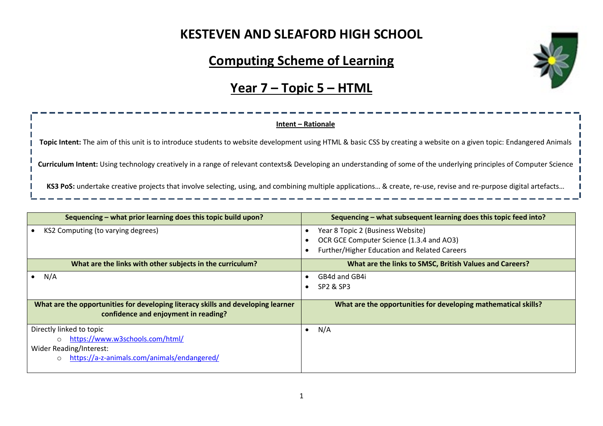# **KESTEVEN AND SLEAFORD HIGH SCHOOL**

### **Computing Scheme of Learning**

# **Year 7 – Topic 5 – HTML**

#### **Intent – Rationale**

**Topic Intent:** The aim of this unit is to introduce students to website development using HTML & basic CSS by creating a website on a given topic: Endangered Animals

**Curriculum Intent:** Using technology creatively in a range of relevant contexts& Developing an understanding of some of the underlying principles of Computer Science

**KS3 PoS:** undertake creative projects that involve selecting, using, and combining multiple applications… & create, re-use, revise and re-purpose digital artefacts…

| Sequencing – what prior learning does this topic build upon?                                                                                                | Sequencing – what subsequent learning does this topic feed into?              |  |
|-------------------------------------------------------------------------------------------------------------------------------------------------------------|-------------------------------------------------------------------------------|--|
| KS2 Computing (to varying degrees)                                                                                                                          | Year 8 Topic 2 (Business Website)<br>OCR GCE Computer Science (1.3.4 and AO3) |  |
|                                                                                                                                                             | Further/Higher Education and Related Careers                                  |  |
| What are the links with other subjects in the curriculum?                                                                                                   | What are the links to SMSC, British Values and Careers?                       |  |
| N/A<br>$\bullet$                                                                                                                                            | GB4d and GB4i<br><b>SP2 &amp; SP3</b>                                         |  |
| What are the opportunities for developing literacy skills and developing learner<br>confidence and enjoyment in reading?                                    | What are the opportunities for developing mathematical skills?                |  |
| Directly linked to topic<br>https://www.w3schools.com/html/<br>$\circ$<br>Wider Reading/Interest:<br>https://a-z-animals.com/animals/endangered/<br>$\circ$ | N/A                                                                           |  |

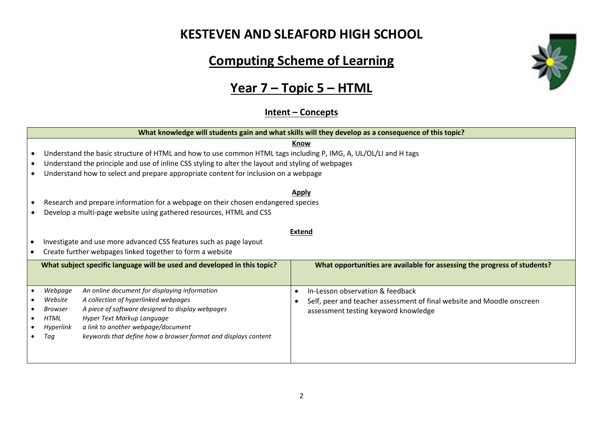# **KESTEVEN AND SLEAFORD HIGH SCHOOL**

# **Computing Scheme of Learning**

### **Year 7 – Topic 5 – HTML**

#### **Intent – Concepts**